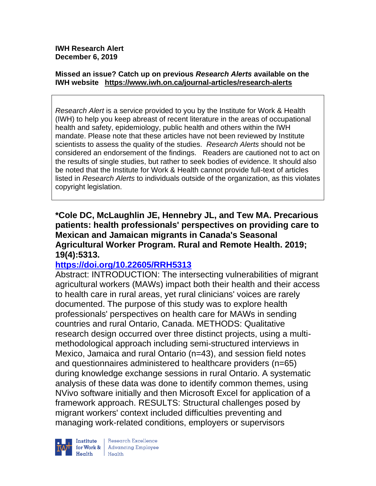**IWH Research Alert December 6, 2019**

#### **Missed an issue? Catch up on previous** *Research Alerts* **available on the [IWH website](http://www.iwh.on.ca/research-alerts) <https://www.iwh.on.ca/journal-articles/research-alerts>**

*Research Alert* is a service provided to you by the Institute for Work & Health (IWH) to help you keep abreast of recent literature in the areas of occupational health and safety, epidemiology, public health and others within the IWH mandate. Please note that these articles have not been reviewed by Institute scientists to assess the quality of the studies. *Research Alerts* should not be considered an endorsement of the findings. Readers are cautioned not to act on the results of single studies, but rather to seek bodies of evidence. It should also be noted that the Institute for Work & Health cannot provide full-text of articles listed in *Research Alerts* to individuals outside of the organization, as this violates copyright legislation.

**\*Cole DC, McLaughlin JE, Hennebry JL, and Tew MA. Precarious patients: health professionals' perspectives on providing care to Mexican and Jamaican migrants in Canada's Seasonal Agricultural Worker Program. Rural and Remote Health. 2019; 19(4):5313.**

#### **<https://doi.org/10.22605/RRH5313>**

Abstract: INTRODUCTION: The intersecting vulnerabilities of migrant agricultural workers (MAWs) impact both their health and their access to health care in rural areas, yet rural clinicians' voices are rarely documented. The purpose of this study was to explore health professionals' perspectives on health care for MAWs in sending countries and rural Ontario, Canada. METHODS: Qualitative research design occurred over three distinct projects, using a multimethodological approach including semi-structured interviews in Mexico, Jamaica and rural Ontario (n=43), and session field notes and questionnaires administered to healthcare providers (n=65) during knowledge exchange sessions in rural Ontario. A systematic analysis of these data was done to identify common themes, using NVivo software initially and then Microsoft Excel for application of a framework approach. RESULTS: Structural challenges posed by migrant workers' context included difficulties preventing and managing work-related conditions, employers or supervisors



Research Excellence for Work & | Advancing Employee  $H_{\text{each}}$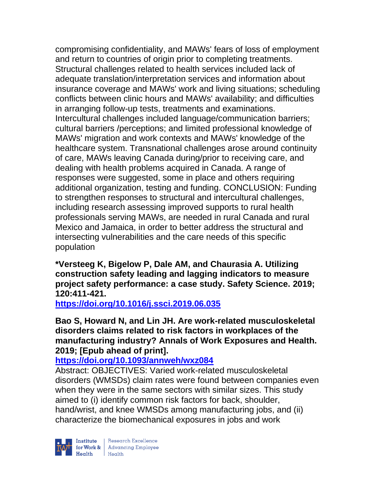compromising confidentiality, and MAWs' fears of loss of employment and return to countries of origin prior to completing treatments. Structural challenges related to health services included lack of adequate translation/interpretation services and information about insurance coverage and MAWs' work and living situations; scheduling conflicts between clinic hours and MAWs' availability; and difficulties in arranging follow-up tests, treatments and examinations. Intercultural challenges included language/communication barriers; cultural barriers /perceptions; and limited professional knowledge of MAWs' migration and work contexts and MAWs' knowledge of the healthcare system. Transnational challenges arose around continuity of care, MAWs leaving Canada during/prior to receiving care, and dealing with health problems acquired in Canada. A range of responses were suggested, some in place and others requiring additional organization, testing and funding. CONCLUSION: Funding to strengthen responses to structural and intercultural challenges, including research assessing improved supports to rural health professionals serving MAWs, are needed in rural Canada and rural Mexico and Jamaica, in order to better address the structural and intersecting vulnerabilities and the care needs of this specific population

**\*Versteeg K, Bigelow P, Dale AM, and Chaurasia A. Utilizing construction safety leading and lagging indicators to measure project safety performance: a case study. Safety Science. 2019; 120:411-421.** 

**<https://doi.org/10.1016/j.ssci.2019.06.035>** 

**Bao S, Howard N, and Lin JH. Are work-related musculoskeletal disorders claims related to risk factors in workplaces of the manufacturing industry? Annals of Work Exposures and Health. 2019; [Epub ahead of print].**

# **<https://doi.org/10.1093/annweh/wxz084>**

Abstract: OBJECTIVES: Varied work-related musculoskeletal disorders (WMSDs) claim rates were found between companies even when they were in the same sectors with similar sizes. This study aimed to (i) identify common risk factors for back, shoulder, hand/wrist, and knee WMSDs among manufacturing jobs, and (ii) characterize the biomechanical exposures in jobs and work

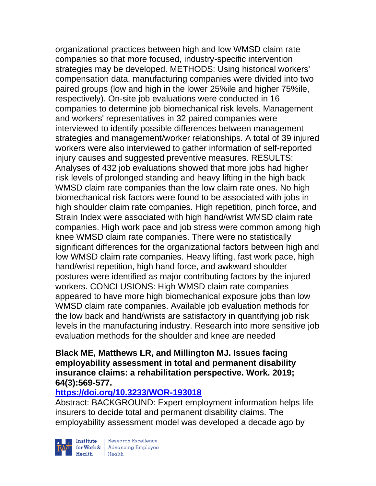organizational practices between high and low WMSD claim rate companies so that more focused, industry-specific intervention strategies may be developed. METHODS: Using historical workers' compensation data, manufacturing companies were divided into two paired groups (low and high in the lower 25%ile and higher 75%ile, respectively). On-site job evaluations were conducted in 16 companies to determine job biomechanical risk levels. Management and workers' representatives in 32 paired companies were interviewed to identify possible differences between management strategies and management/worker relationships. A total of 39 injured workers were also interviewed to gather information of self-reported injury causes and suggested preventive measures. RESULTS: Analyses of 432 job evaluations showed that more jobs had higher risk levels of prolonged standing and heavy lifting in the high back WMSD claim rate companies than the low claim rate ones. No high biomechanical risk factors were found to be associated with jobs in high shoulder claim rate companies. High repetition, pinch force, and Strain Index were associated with high hand/wrist WMSD claim rate companies. High work pace and job stress were common among high knee WMSD claim rate companies. There were no statistically significant differences for the organizational factors between high and low WMSD claim rate companies. Heavy lifting, fast work pace, high hand/wrist repetition, high hand force, and awkward shoulder postures were identified as major contributing factors by the injured workers. CONCLUSIONS: High WMSD claim rate companies appeared to have more high biomechanical exposure jobs than low WMSD claim rate companies. Available job evaluation methods for the low back and hand/wrists are satisfactory in quantifying job risk levels in the manufacturing industry. Research into more sensitive job evaluation methods for the shoulder and knee are needed

#### **Black ME, Matthews LR, and Millington MJ. Issues facing employability assessment in total and permanent disability insurance claims: a rehabilitation perspective. Work. 2019; 64(3):569-577.**

### **<https://doi.org/10.3233/WOR-193018>**

Abstract: BACKGROUND: Expert employment information helps life insurers to decide total and permanent disability claims. The employability assessment model was developed a decade ago by



| Research Excellence Institute Research Excellence<br> **Fractional Employee Health** Health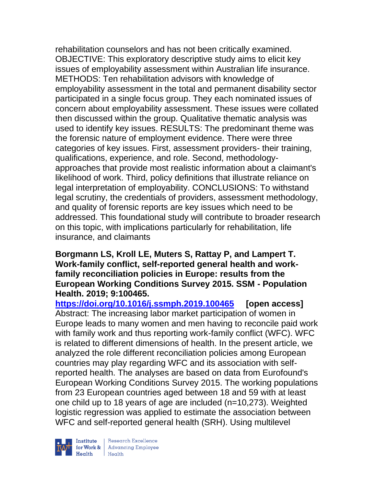rehabilitation counselors and has not been critically examined. OBJECTIVE: This exploratory descriptive study aims to elicit key issues of employability assessment within Australian life insurance. METHODS: Ten rehabilitation advisors with knowledge of employability assessment in the total and permanent disability sector participated in a single focus group. They each nominated issues of concern about employability assessment. These issues were collated then discussed within the group. Qualitative thematic analysis was used to identify key issues. RESULTS: The predominant theme was the forensic nature of employment evidence. There were three categories of key issues. First, assessment providers- their training, qualifications, experience, and role. Second, methodologyapproaches that provide most realistic information about a claimant's likelihood of work. Third, policy definitions that illustrate reliance on legal interpretation of employability. CONCLUSIONS: To withstand legal scrutiny, the credentials of providers, assessment methodology, and quality of forensic reports are key issues which need to be addressed. This foundational study will contribute to broader research on this topic, with implications particularly for rehabilitation, life insurance, and claimants

#### **Borgmann LS, Kroll LE, Muters S, Rattay P, and Lampert T. Work-family conflict, self-reported general health and workfamily reconciliation policies in Europe: results from the European Working Conditions Survey 2015. SSM - Population Health. 2019; 9:100465.**

**<https://doi.org/10.1016/j.ssmph.2019.100465> [open access]** Abstract: The increasing labor market participation of women in Europe leads to many women and men having to reconcile paid work with family work and thus reporting work-family conflict (WFC). WFC is related to different dimensions of health. In the present article, we analyzed the role different reconciliation policies among European countries may play regarding WFC and its association with selfreported health. The analyses are based on data from Eurofound's European Working Conditions Survey 2015. The working populations from 23 European countries aged between 18 and 59 with at least one child up to 18 years of age are included (n=10,273). Weighted logistic regression was applied to estimate the association between WFC and self-reported general health (SRH). Using multilevel

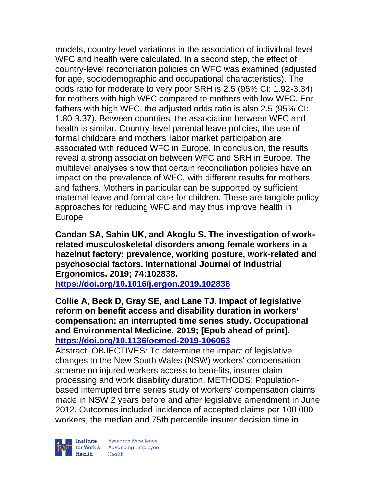models, country-level variations in the association of individual-level WFC and health were calculated. In a second step, the effect of country-level reconciliation policies on WFC was examined (adjusted for age, sociodemographic and occupational characteristics). The odds ratio for moderate to very poor SRH is 2.5 (95% CI: 1.92-3.34) for mothers with high WFC compared to mothers with low WFC. For fathers with high WFC, the adjusted odds ratio is also 2.5 (95% CI: 1.80-3.37). Between countries, the association between WFC and health is similar. Country-level parental leave policies, the use of formal childcare and mothers' labor market participation are associated with reduced WFC in Europe. In conclusion, the results reveal a strong association between WFC and SRH in Europe. The multilevel analyses show that certain reconciliation policies have an impact on the prevalence of WFC, with different results for mothers and fathers. Mothers in particular can be supported by sufficient maternal leave and formal care for children. These are tangible policy approaches for reducing WFC and may thus improve health in Europe

**Candan SA, Sahin UK, and Akoglu S. The investigation of workrelated musculoskeletal disorders among female workers in a hazelnut factory: prevalence, working posture, work-related and psychosocial factors. International Journal of Industrial Ergonomics. 2019; 74:102838. <https://doi.org/10.1016/j.ergon.2019.102838>** 

**Collie A, Beck D, Gray SE, and Lane TJ. Impact of legislative reform on benefit access and disability duration in workers' compensation: an interrupted time series study. Occupational and Environmental Medicine. 2019; [Epub ahead of print]. <https://doi.org/10.1136/oemed-2019-106063>** 

Abstract: OBJECTIVES: To determine the impact of legislative changes to the New South Wales (NSW) workers' compensation scheme on injured workers access to benefits, insurer claim processing and work disability duration. METHODS: Populationbased interrupted time series study of workers' compensation claims made in NSW 2 years before and after legislative amendment in June 2012. Outcomes included incidence of accepted claims per 100 000 workers, the median and 75th percentile insurer decision time in

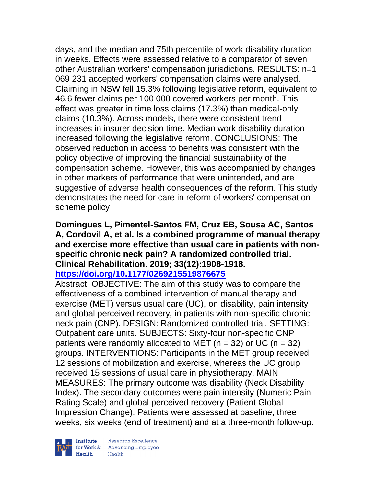days, and the median and 75th percentile of work disability duration in weeks. Effects were assessed relative to a comparator of seven other Australian workers' compensation jurisdictions. RESULTS: n=1 069 231 accepted workers' compensation claims were analysed. Claiming in NSW fell 15.3% following legislative reform, equivalent to 46.6 fewer claims per 100 000 covered workers per month. This effect was greater in time loss claims (17.3%) than medical-only claims (10.3%). Across models, there were consistent trend increases in insurer decision time. Median work disability duration increased following the legislative reform. CONCLUSIONS: The observed reduction in access to benefits was consistent with the policy objective of improving the financial sustainability of the compensation scheme. However, this was accompanied by changes in other markers of performance that were unintended, and are suggestive of adverse health consequences of the reform. This study demonstrates the need for care in reform of workers' compensation scheme policy

### **Domingues L, Pimentel-Santos FM, Cruz EB, Sousa AC, Santos A, Cordovil A, et al. Is a combined programme of manual therapy and exercise more effective than usual care in patients with nonspecific chronic neck pain? A randomized controlled trial. Clinical Rehabilitation. 2019; 33(12):1908-1918.**

#### **<https://doi.org/10.1177/0269215519876675>**

Abstract: OBJECTIVE: The aim of this study was to compare the effectiveness of a combined intervention of manual therapy and exercise (MET) versus usual care (UC), on disability, pain intensity and global perceived recovery, in patients with non-specific chronic neck pain (CNP). DESIGN: Randomized controlled trial. SETTING: Outpatient care units. SUBJECTS: Sixty-four non-specific CNP patients were randomly allocated to MET ( $n = 32$ ) or UC ( $n = 32$ ) groups. INTERVENTIONS: Participants in the MET group received 12 sessions of mobilization and exercise, whereas the UC group received 15 sessions of usual care in physiotherapy. MAIN MEASURES: The primary outcome was disability (Neck Disability Index). The secondary outcomes were pain intensity (Numeric Pain Rating Scale) and global perceived recovery (Patient Global Impression Change). Patients were assessed at baseline, three weeks, six weeks (end of treatment) and at a three-month follow-up.

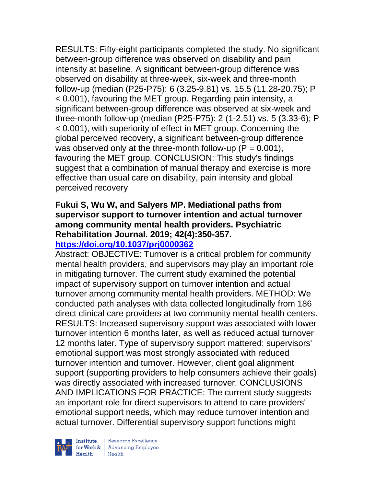RESULTS: Fifty-eight participants completed the study. No significant between-group difference was observed on disability and pain intensity at baseline. A significant between-group difference was observed on disability at three-week, six-week and three-month follow-up (median (P25-P75): 6 (3.25-9.81) vs. 15.5 (11.28-20.75); P < 0.001), favouring the MET group. Regarding pain intensity, a significant between-group difference was observed at six-week and three-month follow-up (median (P25-P75): 2 (1-2.51) vs. 5 (3.33-6); P < 0.001), with superiority of effect in MET group. Concerning the global perceived recovery, a significant between-group difference was observed only at the three-month follow-up  $(P = 0.001)$ , favouring the MET group. CONCLUSION: This study's findings suggest that a combination of manual therapy and exercise is more effective than usual care on disability, pain intensity and global perceived recovery

### **Fukui S, Wu W, and Salyers MP. Mediational paths from supervisor support to turnover intention and actual turnover among community mental health providers. Psychiatric Rehabilitation Journal. 2019; 42(4):350-357. <https://doi.org/10.1037/prj0000362>**

Abstract: OBJECTIVE: Turnover is a critical problem for community mental health providers, and supervisors may play an important role in mitigating turnover. The current study examined the potential impact of supervisory support on turnover intention and actual turnover among community mental health providers. METHOD: We conducted path analyses with data collected longitudinally from 186 direct clinical care providers at two community mental health centers. RESULTS: Increased supervisory support was associated with lower turnover intention 6 months later, as well as reduced actual turnover 12 months later. Type of supervisory support mattered: supervisors' emotional support was most strongly associated with reduced turnover intention and turnover. However, client goal alignment support (supporting providers to help consumers achieve their goals) was directly associated with increased turnover. CONCLUSIONS AND IMPLICATIONS FOR PRACTICE: The current study suggests an important role for direct supervisors to attend to care providers' emotional support needs, which may reduce turnover intention and actual turnover. Differential supervisory support functions might



| Research Excellence Finantium Research Excellence<br>
For Work & Advancing Employee<br>
Health Health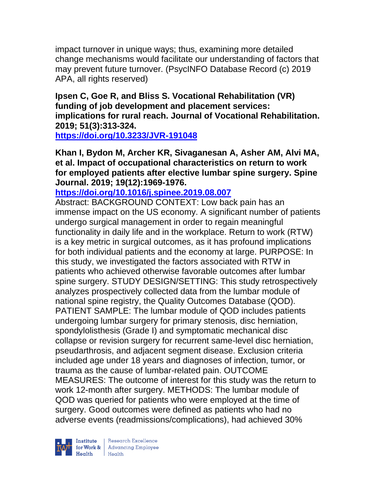impact turnover in unique ways; thus, examining more detailed change mechanisms would facilitate our understanding of factors that may prevent future turnover. (PsycINFO Database Record (c) 2019 APA, all rights reserved)

**Ipsen C, Goe R, and Bliss S. Vocational Rehabilitation (VR) funding of job development and placement services: implications for rural reach. Journal of Vocational Rehabilitation. 2019; 51(3):313-324.** 

**<https://doi.org/10.3233/JVR-191048>** 

**Khan I, Bydon M, Archer KR, Sivaganesan A, Asher AM, Alvi MA, et al. Impact of occupational characteristics on return to work for employed patients after elective lumbar spine surgery. Spine Journal. 2019; 19(12):1969-1976.** 

**<https://doi.org/10.1016/j.spinee.2019.08.007>** 

Abstract: BACKGROUND CONTEXT: Low back pain has an immense impact on the US economy. A significant number of patients undergo surgical management in order to regain meaningful functionality in daily life and in the workplace. Return to work (RTW) is a key metric in surgical outcomes, as it has profound implications for both individual patients and the economy at large. PURPOSE: In this study, we investigated the factors associated with RTW in patients who achieved otherwise favorable outcomes after lumbar spine surgery. STUDY DESIGN/SETTING: This study retrospectively analyzes prospectively collected data from the lumbar module of national spine registry, the Quality Outcomes Database (QOD). PATIENT SAMPLE: The lumbar module of QOD includes patients undergoing lumbar surgery for primary stenosis, disc herniation, spondylolisthesis (Grade I) and symptomatic mechanical disc collapse or revision surgery for recurrent same-level disc herniation, pseudarthrosis, and adjacent segment disease. Exclusion criteria included age under 18 years and diagnoses of infection, tumor, or trauma as the cause of lumbar-related pain. OUTCOME MEASURES: The outcome of interest for this study was the return to work 12-month after surgery. METHODS: The lumbar module of QOD was queried for patients who were employed at the time of surgery. Good outcomes were defined as patients who had no adverse events (readmissions/complications), had achieved 30%

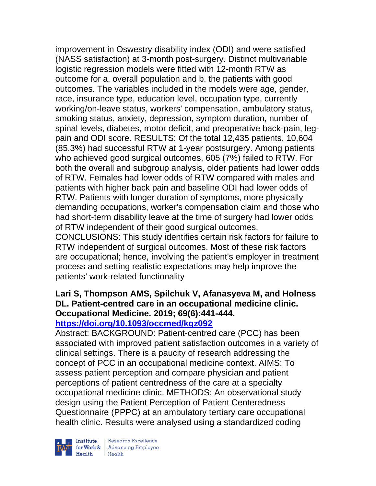improvement in Oswestry disability index (ODI) and were satisfied (NASS satisfaction) at 3-month post-surgery. Distinct multivariable logistic regression models were fitted with 12-month RTW as outcome for a. overall population and b. the patients with good outcomes. The variables included in the models were age, gender, race, insurance type, education level, occupation type, currently working/on-leave status, workers' compensation, ambulatory status, smoking status, anxiety, depression, symptom duration, number of spinal levels, diabetes, motor deficit, and preoperative back-pain, legpain and ODI score. RESULTS: Of the total 12,435 patients, 10,604 (85.3%) had successful RTW at 1-year postsurgery. Among patients who achieved good surgical outcomes, 605 (7%) failed to RTW. For both the overall and subgroup analysis, older patients had lower odds of RTW. Females had lower odds of RTW compared with males and patients with higher back pain and baseline ODI had lower odds of RTW. Patients with longer duration of symptoms, more physically demanding occupations, worker's compensation claim and those who had short-term disability leave at the time of surgery had lower odds of RTW independent of their good surgical outcomes.

CONCLUSIONS: This study identifies certain risk factors for failure to RTW independent of surgical outcomes. Most of these risk factors are occupational; hence, involving the patient's employer in treatment process and setting realistic expectations may help improve the patients' work-related functionality

#### **Lari S, Thompson AMS, Spilchuk V, Afanasyeva M, and Holness DL. Patient-centred care in an occupational medicine clinic. Occupational Medicine. 2019; 69(6):441-444. <https://doi.org/10.1093/occmed/kqz092>**

Abstract: BACKGROUND: Patient-centred care (PCC) has been associated with improved patient satisfaction outcomes in a variety of clinical settings. There is a paucity of research addressing the concept of PCC in an occupational medicine context. AIMS: To assess patient perception and compare physician and patient perceptions of patient centredness of the care at a specialty occupational medicine clinic. METHODS: An observational study design using the Patient Perception of Patient Centeredness Questionnaire (PPPC) at an ambulatory tertiary care occupational health clinic. Results were analysed using a standardized coding



| Research Excellence Institute Research Excellence<br> **Fractional Employee**<br>
Realth Health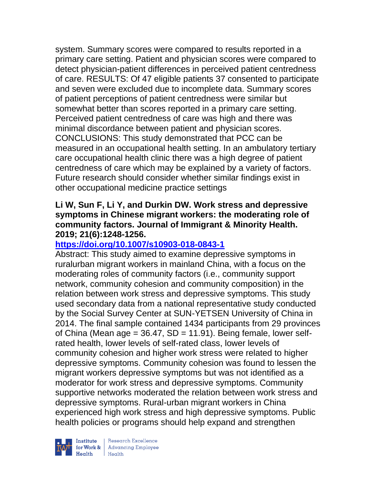system. Summary scores were compared to results reported in a primary care setting. Patient and physician scores were compared to detect physician-patient differences in perceived patient centredness of care. RESULTS: Of 47 eligible patients 37 consented to participate and seven were excluded due to incomplete data. Summary scores of patient perceptions of patient centredness were similar but somewhat better than scores reported in a primary care setting. Perceived patient centredness of care was high and there was minimal discordance between patient and physician scores. CONCLUSIONS: This study demonstrated that PCC can be measured in an occupational health setting. In an ambulatory tertiary care occupational health clinic there was a high degree of patient centredness of care which may be explained by a variety of factors. Future research should consider whether similar findings exist in other occupational medicine practice settings

### **Li W, Sun F, Li Y, and Durkin DW. Work stress and depressive symptoms in Chinese migrant workers: the moderating role of community factors. Journal of Immigrant & Minority Health. 2019; 21(6):1248-1256.**

### **<https://doi.org/10.1007/s10903-018-0843-1>**

Abstract: This study aimed to examine depressive symptoms in ruralurban migrant workers in mainland China, with a focus on the moderating roles of community factors (i.e., community support network, community cohesion and community composition) in the relation between work stress and depressive symptoms. This study used secondary data from a national representative study conducted by the Social Survey Center at SUN-YETSEN University of China in 2014. The final sample contained 1434 participants from 29 provinces of China (Mean age =  $36.47$ , SD =  $11.91$ ). Being female, lower selfrated health, lower levels of self-rated class, lower levels of community cohesion and higher work stress were related to higher depressive symptoms. Community cohesion was found to lessen the migrant workers depressive symptoms but was not identified as a moderator for work stress and depressive symptoms. Community supportive networks moderated the relation between work stress and depressive symptoms. Rural-urban migrant workers in China experienced high work stress and high depressive symptoms. Public health policies or programs should help expand and strengthen

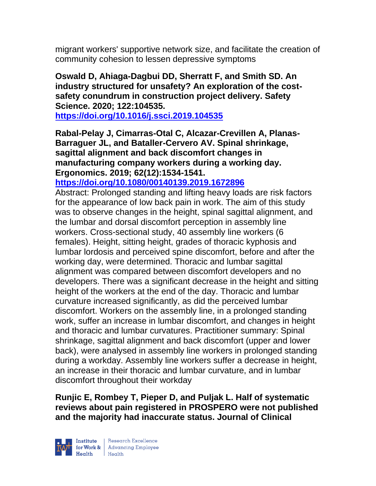migrant workers' supportive network size, and facilitate the creation of community cohesion to lessen depressive symptoms

**Oswald D, Ahiaga-Dagbui DD, Sherratt F, and Smith SD. An industry structured for unsafety? An exploration of the costsafety conundrum in construction project delivery. Safety Science. 2020; 122:104535.**

**<https://doi.org/10.1016/j.ssci.2019.104535>** 

**Rabal-Pelay J, Cimarras-Otal C, Alcazar-Crevillen A, Planas-Barraguer JL, and Bataller-Cervero AV. Spinal shrinkage, sagittal alignment and back discomfort changes in manufacturing company workers during a working day. Ergonomics. 2019; 62(12):1534-1541.** 

**<https://doi.org/10.1080/00140139.2019.1672896>** 

Abstract: Prolonged standing and lifting heavy loads are risk factors for the appearance of low back pain in work. The aim of this study was to observe changes in the height, spinal sagittal alignment, and the lumbar and dorsal discomfort perception in assembly line workers. Cross-sectional study, 40 assembly line workers (6 females). Height, sitting height, grades of thoracic kyphosis and lumbar lordosis and perceived spine discomfort, before and after the working day, were determined. Thoracic and lumbar sagittal alignment was compared between discomfort developers and no developers. There was a significant decrease in the height and sitting height of the workers at the end of the day. Thoracic and lumbar curvature increased significantly, as did the perceived lumbar discomfort. Workers on the assembly line, in a prolonged standing work, suffer an increase in lumbar discomfort, and changes in height and thoracic and lumbar curvatures. Practitioner summary: Spinal shrinkage, sagittal alignment and back discomfort (upper and lower back), were analysed in assembly line workers in prolonged standing during a workday. Assembly line workers suffer a decrease in height, an increase in their thoracic and lumbar curvature, and in lumbar discomfort throughout their workday

**Runjic E, Rombey T, Pieper D, and Puljak L. Half of systematic reviews about pain registered in PROSPERO were not published and the majority had inaccurate status. Journal of Clinical** 

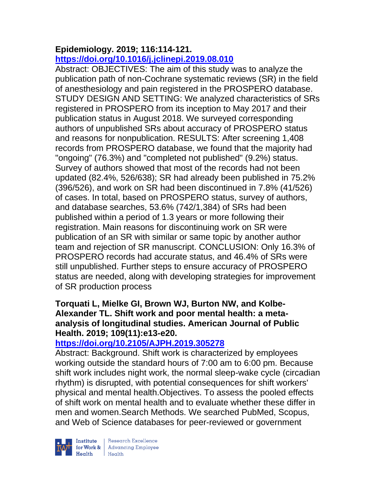# **Epidemiology. 2019; 116:114-121.**

# **<https://doi.org/10.1016/j.jclinepi.2019.08.010>**

Abstract: OBJECTIVES: The aim of this study was to analyze the publication path of non-Cochrane systematic reviews (SR) in the field of anesthesiology and pain registered in the PROSPERO database. STUDY DESIGN AND SETTING: We analyzed characteristics of SRs registered in PROSPERO from its inception to May 2017 and their publication status in August 2018. We surveyed corresponding authors of unpublished SRs about accuracy of PROSPERO status and reasons for nonpublication. RESULTS: After screening 1,408 records from PROSPERO database, we found that the majority had "ongoing" (76.3%) and "completed not published" (9.2%) status. Survey of authors showed that most of the records had not been updated (82.4%, 526/638); SR had already been published in 75.2% (396/526), and work on SR had been discontinued in 7.8% (41/526) of cases. In total, based on PROSPERO status, survey of authors, and database searches, 53.6% (742/1,384) of SRs had been published within a period of 1.3 years or more following their registration. Main reasons for discontinuing work on SR were publication of an SR with similar or same topic by another author team and rejection of SR manuscript. CONCLUSION: Only 16.3% of PROSPERO records had accurate status, and 46.4% of SRs were still unpublished. Further steps to ensure accuracy of PROSPERO status are needed, along with developing strategies for improvement of SR production process

### **Torquati L, Mielke GI, Brown WJ, Burton NW, and Kolbe-Alexander TL. Shift work and poor mental health: a metaanalysis of longitudinal studies. American Journal of Public Health. 2019; 109(11):e13-e20.**

# **<https://doi.org/10.2105/AJPH.2019.305278>**

Abstract: Background. Shift work is characterized by employees working outside the standard hours of 7:00 am to 6:00 pm. Because shift work includes night work, the normal sleep-wake cycle (circadian rhythm) is disrupted, with potential consequences for shift workers' physical and mental health.Objectives. To assess the pooled effects of shift work on mental health and to evaluate whether these differ in men and women.Search Methods. We searched PubMed, Scopus, and Web of Science databases for peer-reviewed or government

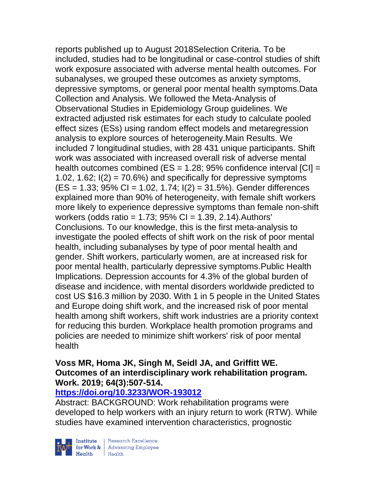reports published up to August 2018Selection Criteria. To be included, studies had to be longitudinal or case-control studies of shift work exposure associated with adverse mental health outcomes. For subanalyses, we grouped these outcomes as anxiety symptoms, depressive symptoms, or general poor mental health symptoms.Data Collection and Analysis. We followed the Meta-Analysis of Observational Studies in Epidemiology Group guidelines. We extracted adjusted risk estimates for each study to calculate pooled effect sizes (ESs) using random effect models and metaregression analysis to explore sources of heterogeneity.Main Results. We included 7 longitudinal studies, with 28 431 unique participants. Shift work was associated with increased overall risk of adverse mental health outcomes combined (ES =  $1.28$ ; 95% confidence interval [CI] = 1.02, 1.62;  $I(2) = 70.6\%$ ) and specifically for depressive symptoms  $(ES = 1.33; 95\% CI = 1.02, 1.74; I(2) = 31.5\%).$  Gender differences explained more than 90% of heterogeneity, with female shift workers more likely to experience depressive symptoms than female non-shift workers (odds ratio = 1.73; 95% CI = 1.39, 2.14).Authors' Conclusions. To our knowledge, this is the first meta-analysis to investigate the pooled effects of shift work on the risk of poor mental health, including subanalyses by type of poor mental health and gender. Shift workers, particularly women, are at increased risk for poor mental health, particularly depressive symptoms.Public Health Implications. Depression accounts for 4.3% of the global burden of disease and incidence, with mental disorders worldwide predicted to cost US \$16.3 million by 2030. With 1 in 5 people in the United States and Europe doing shift work, and the increased risk of poor mental health among shift workers, shift work industries are a priority context for reducing this burden. Workplace health promotion programs and policies are needed to minimize shift workers' risk of poor mental health

#### **Voss MR, Homa JK, Singh M, Seidl JA, and Griffitt WE. Outcomes of an interdisciplinary work rehabilitation program. Work. 2019; 64(3):507-514.**

#### **<https://doi.org/10.3233/WOR-193012>**

Abstract: BACKGROUND: Work rehabilitation programs were developed to help workers with an injury return to work (RTW). While studies have examined intervention characteristics, prognostic



| Research Excellence Finantium Research Excellence<br>
Finantium Research Employee<br>
Realth Health